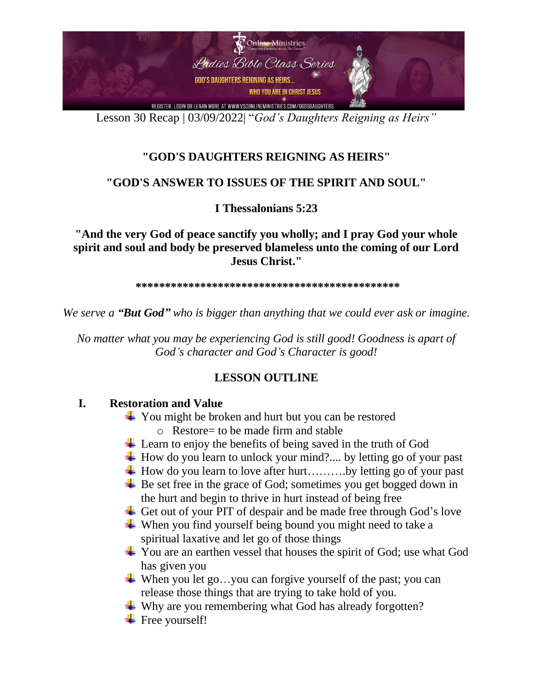

Lesson 30 Recap | 03/09/2022| "*God's Daughters Reigning as Heirs"*

## **"GOD'S DAUGHTERS REIGNING AS HEIRS"**

### **"GOD'S ANSWER TO ISSUES OF THE SPIRIT AND SOUL"**

**I Thessalonians 5:23** 

**"And the very God of peace sanctify you wholly; and I pray God your whole spirit and soul and body be preserved blameless unto the coming of our Lord Jesus Christ."**

**\*\*\*\*\*\*\*\*\*\*\*\*\*\*\*\*\*\*\*\*\*\*\*\*\*\*\*\*\*\*\*\*\*\*\*\*\*\*\*\*\*\*\*\*\*** 

*We serve a "But God" who is bigger than anything that we could ever ask or imagine.* 

*No matter what you may be experiencing God is still good! Goodness is apart of God's character and God's Character is good!* 

### **LESSON OUTLINE**

### **I. Restoration and Value**

- **→** You might be broken and hurt but you can be restored o Restore= to be made firm and stable
- Learn to enjoy the benefits of being saved in the truth of God
- $\downarrow$  How do you learn to unlock your mind?.... by letting go of your past
- $\overline{\mathbf{H}}$  How do you learn to love after hurt………by letting go of your past
- $\overline{\phantom{a}}$  Be set free in the grace of God; sometimes you get bogged down in the hurt and begin to thrive in hurt instead of being free
- Get out of your PIT of despair and be made free through God's love
- $\overline{\phantom{a}}$  When you find yourself being bound you might need to take a spiritual laxative and let go of those things
- $\overline{\phantom{a} \overline{\phantom{a}}}$  You are an earthen vessel that houses the spirit of God; use what God has given you
- When you let go...you can forgive yourself of the past; you can release those things that are trying to take hold of you.
- $\overline{\phantom{a}}$  Why are you remembering what God has already forgotten?
- $\overline{\phantom{a}}$  Free yourself!